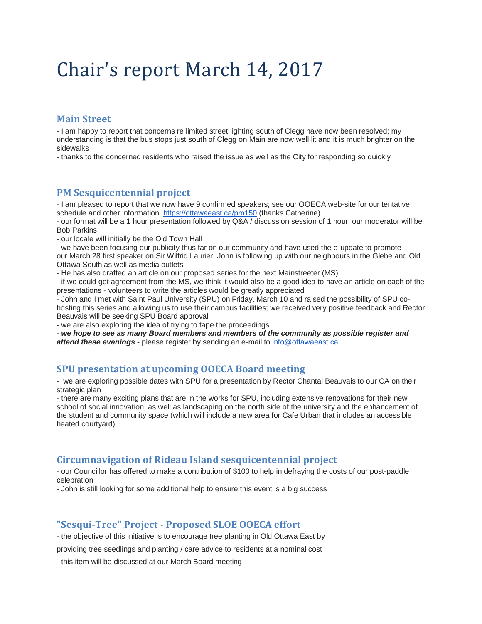# Chair's report March 14, 2017

## **Main Street**

- I am happy to report that concerns re limited street lighting south of Clegg have now been resolved; my understanding is that the bus stops just south of Clegg on Main are now well lit and it is much brighter on the sidewalks

- thanks to the concerned residents who raised the issue as well as the City for responding so quickly

## **PM Sesquicentennial project**

- I am pleased to report that we now have 9 confirmed speakers; see our OOECA web-site for our tentative schedule and other information <https://ottawaeast.ca/pm150> (thanks Catherine)

- our format will be a 1 hour presentation followed by Q&A / discussion session of 1 hour; our moderator will be Bob Parkins

- our locale will initially be the Old Town Hall

- we have been focusing our publicity thus far on our community and have used the e-update to promote our March 28 first speaker on Sir Wilfrid Laurier; John is following up with our neighbours in the Glebe and Old Ottawa South as well as media outlets

- He has also drafted an article on our proposed series for the next Mainstreeter (MS)

- if we could get agreement from the MS, we think it would also be a good idea to have an article on each of the presentations - volunteers to write the articles would be greatly appreciated

- John and I met with Saint Paul University (SPU) on Friday, March 10 and raised the possibility of SPU cohosting this series and allowing us to use their campus facilities; we received very positive feedback and Rector Beauvais will be seeking SPU Board approval

- we are also exploring the idea of trying to tape the proceedings

- *we hope to see as many Board members and members of the community as possible register and attend these evenings* **-** please register by sending an e-mail to [info@ottawaeast.ca](mailto:info@ottawaeast.ca)

## **SPU presentation at upcoming OOECA Board meeting**

- we are exploring possible dates with SPU for a presentation by Rector Chantal Beauvais to our CA on their strategic plan

- there are many exciting plans that are in the works for SPU, including extensive renovations for their new school of social innovation, as well as landscaping on the north side of the university and the enhancement of the student and community space (which will include a new area for Cafe Urban that includes an accessible heated courtyard)

## **Circumnavigation of Rideau Island sesquicentennial project**

- our Councillor has offered to make a contribution of \$100 to help in defraying the costs of our post-paddle celebration

- John is still looking for some additional help to ensure this event is a big success

## **"Sesqui-Tree" Project - Proposed SLOE OOECA effort**

- the objective of this initiative is to encourage tree planting in Old Ottawa East by

providing tree seedlings and planting / care advice to residents at a nominal cost

- this item will be discussed at our March Board meeting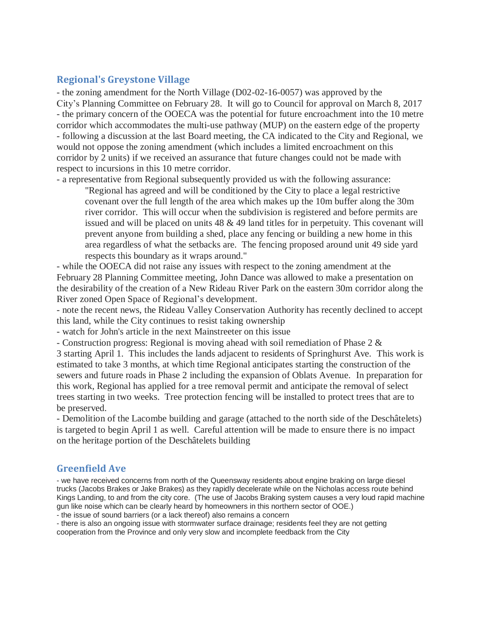## **Regional's Greystone Village**

- the zoning amendment for the North Village (D02-02-16-0057) was approved by the City's Planning Committee on February 28. It will go to Council for approval on March 8, 2017 - the primary concern of the OOECA was the potential for future encroachment into the 10 metre corridor which accommodates the multi-use pathway (MUP) on the eastern edge of the property - following a discussion at the last Board meeting, the CA indicated to the City and Regional, we would not oppose the zoning amendment (which includes a limited encroachment on this corridor by 2 units) if we received an assurance that future changes could not be made with respect to incursions in this 10 metre corridor.

- a representative from Regional subsequently provided us with the following assurance:

"Regional has agreed and will be conditioned by the City to place a legal restrictive covenant over the full length of the area which makes up the 10m buffer along the 30m river corridor. This will occur when the subdivision is registered and before permits are issued and will be placed on units  $48 \& 49$  land titles for in perpetuity. This covenant will prevent anyone from building a shed, place any fencing or building a new home in this area regardless of what the setbacks are. The fencing proposed around unit 49 side yard respects this boundary as it wraps around."

- while the OOECA did not raise any issues with respect to the zoning amendment at the February 28 Planning Committee meeting, John Dance was allowed to make a presentation on the desirability of the creation of a New Rideau River Park on the eastern 30m corridor along the River zoned Open Space of Regional's development.

- note the recent news, the Rideau Valley Conservation Authority has recently declined to accept this land, while the City continues to resist taking ownership

- watch for John's article in the next Mainstreeter on this issue

- Construction progress: Regional is moving ahead with soil remediation of Phase 2 &

3 starting April 1. This includes the lands adjacent to residents of Springhurst Ave. This work is estimated to take 3 months, at which time Regional anticipates starting the construction of the sewers and future roads in Phase 2 including the expansion of Oblats Avenue. In preparation for this work, Regional has applied for a tree removal permit and anticipate the removal of select trees starting in two weeks. Tree protection fencing will be installed to protect trees that are to be preserved.

- Demolition of the Lacombe building and garage (attached to the north side of the Deschâtelets) is targeted to begin April 1 as well. Careful attention will be made to ensure there is no impact on the heritage portion of the Deschâtelets building

## **Greenfield Ave**

- we have received concerns from north of the Queensway residents about engine braking on large diesel trucks (Jacobs Brakes or Jake Brakes) as they rapidly decelerate while on the Nicholas access route behind Kings Landing, to and from the city core. (The use of Jacobs Braking system causes a very loud rapid machine gun like noise which can be clearly heard by homeowners in this northern sector of OOE.)

- the issue of sound barriers (or a lack thereof) also remains a concern

- there is also an ongoing issue with stormwater surface drainage; residents feel they are not getting cooperation from the Province and only very slow and incomplete feedback from the City